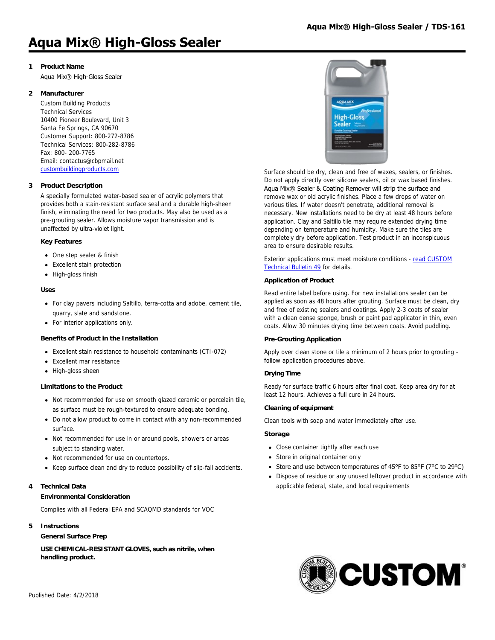# **Aqua Mix® High-Gloss Sealer**

# **1 Product Name**

Aqua Mix® High-Gloss Sealer

# **2 Manufacturer**

Custom Building Products Technical Services 10400 Pioneer Boulevard, Unit 3 Santa Fe Springs, CA 90670 Customer Support: 800-272-8786 Technical Services: 800-282-8786 Fax: 800- 200-7765 Email: contactus@cbpmail.net [custombuildingproducts.com](http://www.custombuildingproducts.com)

# **3 Product Description**

A specially formulated water-based sealer of acrylic polymers that provides both a stain-resistant surface seal and a durable high-sheen finish, eliminating the need for two products. May also be used as a pre-grouting sealer. Allows moisture vapor transmission and is unaffected by ultra-violet light.

### **Key Features**

- One step sealer & finish
- Excellent stain protection
- High-gloss finish

### **Uses**

- For clay pavers including Saltillo, terra-cotta and adobe, cement tile, quarry, slate and sandstone.
- For interior applications only.

# **Benefits of Product in the Installation**

- Excellent stain resistance to household contaminants (CTI-072)
- Excellent mar resistance
- High-gloss sheen

#### **Limitations to the Product**

- Not recommended for use on smooth glazed ceramic or porcelain tile, as surface must be rough-textured to ensure adequate bonding.
- Do not allow product to come in contact with any non-recommended surface.
- Not recommended for use in or around pools, showers or areas subject to standing water.
- Not recommended for use on countertops.
- Keep surface clean and dry to reduce possibility of slip-fall accidents.

# **4 Technical Data**

#### **Environmental Consideration**

Complies with all Federal EPA and SCAQMD standards for VOC

#### **5 Instructions**

**General Surface Prep**

**USE CHEMICAL-RESISTANT GLOVES, such as nitrile, when handling product.**



Surface should be dry, clean and free of waxes, sealers, or finishes. Do not apply directly over silicone sealers, oil or wax based finishes. Aqua Mix® Sealer & Coating Remover will strip the surface and remove wax or old acrylic finishes. Place a few drops of water on various tiles. If water doesn't penetrate, additional removal is necessary. New installations need to be dry at least 48 hours before application. Clay and Saltillo tile may require extended drying time depending on temperature and humidity. Make sure the tiles are completely dry before application. Test product in an inconspicuous area to ensure desirable results.

[Exterior applications must meet moisture conditions - read CUSTOM](https://www.custombuildingproducts.com:443/media/2742092/tb49_sealer_application.pdf) Technical Bulletin 49 for details.

### **Application of Product**

Read entire label before using. For new installations sealer can be applied as soon as 48 hours after grouting. Surface must be clean, dry and free of existing sealers and coatings. Apply 2-3 coats of sealer with a clean dense sponge, brush or paint pad applicator in thin, even coats. Allow 30 minutes drying time between coats. Avoid puddling.

#### **Pre-Grouting Application**

Apply over clean stone or tile a minimum of 2 hours prior to grouting follow application procedures above.

# **Drying Time**

Ready for surface traffic 6 hours after final coat. Keep area dry for at least 12 hours. Achieves a full cure in 24 hours.

#### **Cleaning of equipment**

Clean tools with soap and water immediately after use.

#### **Storage**

- Close container tightly after each use
- Store in original container only
- Store and use between temperatures of 45°F to 85°F (7°C to 29°C)
- Dispose of residue or any unused leftover product in accordance with applicable federal, state, and local requirements

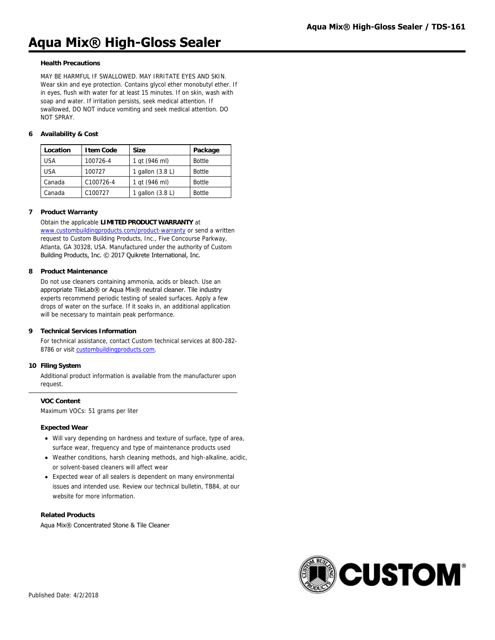# **Aqua Mix® High-Gloss Sealer**

#### **Health Precautions**

MAY BE HARMFUL IF SWALLOWED. MAY IRRITATE EYES AND SKIN. Wear skin and eye protection. Contains glycol ether monobutyl ether. If in eyes, flush with water for at least 15 minutes. If on skin, wash with soap and water. If irritation persists, seek medical attention. If swallowed, DO NOT induce vomiting and seek medical attention. DO NOT SPRAY.

## **6 Availability & Cost**

| Location   | <b>Item Code</b> | Size             | Package       |
|------------|------------------|------------------|---------------|
| <b>USA</b> | 100726-4         | 1 gt (946 ml)    | <b>Bottle</b> |
| <b>USA</b> | 100727           | qallon $(3.8 L)$ | <b>Bottle</b> |
| Canada     | C100726-4        | 1 gt (946 ml)    | <b>Bottle</b> |
| Canada     | C100727          | gallon $(3.8 L)$ | <b>Bottle</b> |

#### **7 Product Warranty**

#### Obtain the applicable **LIMITED PRODUCT WARRANTY** at

[www.custombuildingproducts.com/product-warranty](http://www.custombuildingproducts.com/product-warranty) or send a written request to Custom Building Products, Inc., Five Concourse Parkway, Atlanta, GA 30328, USA. Manufactured under the authority of Custom Building Products, Inc. © 2017 Quikrete International, Inc.

#### **8 Product Maintenance**

Do not use cleaners containing ammonia, acids or bleach. Use an appropriate TileLab® or Aqua Mix® neutral cleaner. Tile industry experts recommend periodic testing of sealed surfaces. Apply a few drops of water on the surface. If it soaks in, an additional application will be necessary to maintain peak performance.

#### **9 Technical Services Information**

For technical assistance, contact Custom technical services at 800-282- 8786 or visit [custombuildingproducts.com](https://www.custombuildingproducts.com:443/support/contact-us.aspx).

#### **10 Filing System**

Additional product information is available from the manufacturer upon request.

**VOC Content** Maximum VOCs: 51 grams per liter

#### **Expected Wear**

- Will vary depending on hardness and texture of surface, type of area, surface wear, frequency and type of maintenance products used
- Weather conditions, harsh cleaning methods, and high-alkaline, acidic, or solvent-based cleaners will affect wear
- Expected wear of all sealers is dependent on many environmental issues and intended use. Review our technical bulletin, TB84, at our website for more information.

# **Related Products**

Aqua Mix® Concentrated Stone & Tile Cleaner